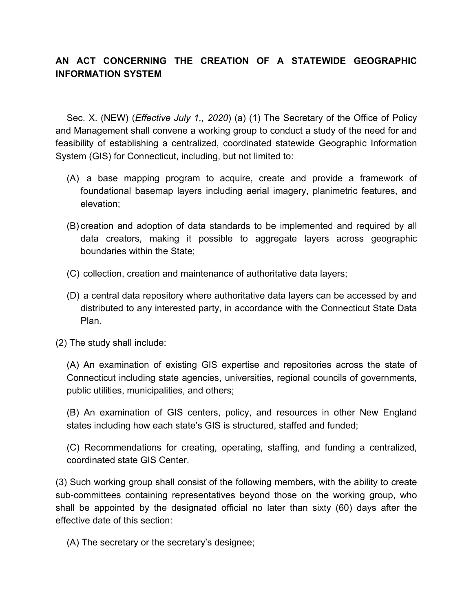## **AN ACT CONCERNING THE CREATION OF A STATEWIDE GEOGRAPHIC INFORMATION SYSTEM**

Sec. X. (NEW) (*Effective July 1,, 2020*) (a) (1) The Secretary of the Office of Policy and Management shall convene a working group to conduct a study of the need for and feasibility of establishing a centralized, coordinated statewide Geographic Information System (GIS) for Connecticut, including, but not limited to:

- (A) a base mapping program to acquire, create and provide a framework of foundational basemap layers including aerial imagery, planimetric features, and elevation;
- (B) creation and adoption of data standards to be implemented and required by all data creators, making it possible to aggregate layers across geographic boundaries within the State;
- (C) collection, creation and maintenance of authoritative data layers;
- (D) a central data repository where authoritative data layers can be accessed by and distributed to any interested party, in accordance with the Connecticut State Data Plan.
- (2) The study shall include:

(A) An examination of existing GIS expertise and repositories across the state of Connecticut including state agencies, universities, regional councils of governments, public utilities, municipalities, and others;

(B) An examination of GIS centers, policy, and resources in other New England states including how each state's GIS is structured, staffed and funded;

(C) Recommendations for creating, operating, staffing, and funding a centralized, coordinated state GIS Center.

(3) Such working group shall consist of the following members, with the ability to create sub-committees containing representatives beyond those on the working group, who shall be appointed by the designated official no later than sixty (60) days after the effective date of this section:

(A) The secretary or the secretary's designee;